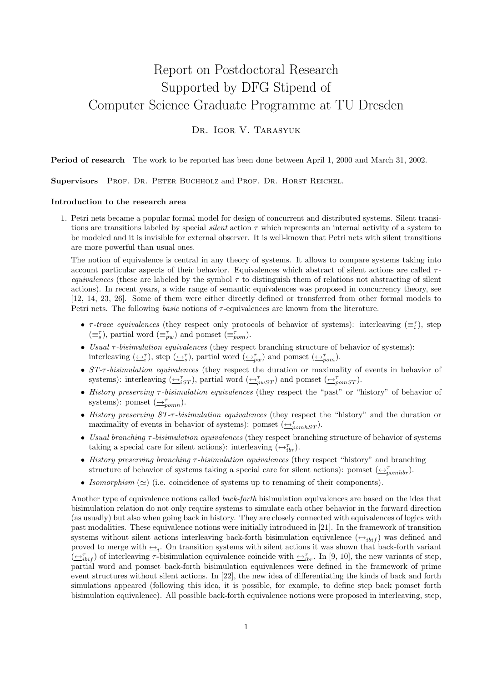# Report on Postdoctoral Research Supported by DFG Stipend of Computer Science Graduate Programme at TU Dresden

### DR. IGOR V. TARASYUK

Period of research The work to be reported has been done between April 1, 2000 and March 31, 2002.

Supervisors PROF. DR. PETER BUCHHOLZ and PROF. DR. HORST REICHEL.

#### Introduction to the research area

1. Petri nets became a popular formal model for design of concurrent and distributed systems. Silent transitions are transitions labeled by special silent action  $\tau$  which represents an internal activity of a system to be modeled and it is invisible for external observer. It is well-known that Petri nets with silent transitions are more powerful than usual ones.

The notion of equivalence is central in any theory of systems. It allows to compare systems taking into account particular aspects of their behavior. Equivalences which abstract of silent actions are called  $\tau$ equivalences (these are labeled by the symbol  $\tau$  to distinguish them of relations not abstracting of silent actions). In recent years, a wide range of semantic equivalences was proposed in concurrency theory, see [12, 14, 23, 26]. Some of them were either directly defined or transferred from other formal models to Petri nets. The following *basic* notions of  $\tau$ -equivalences are known from the literature.

- $\tau$ -trace equivalences (they respect only protocols of behavior of systems): interleaving  $(\equiv_i^{\tau})$ , step  $(\equiv_s^{\tau})$ , partial word  $(\equiv_{pw}^{\tau})$  and pomset  $(\equiv_{pom}^{\tau})$ .
- Usual  $\tau$ -bisimulation equivalences (they respect branching structure of behavior of systems): interleaving  $(\underline{\leftrightarrow_i^{\tau}})$ , step  $(\underline{\leftrightarrow_s^{\tau}})$ , partial word  $(\underline{\leftrightarrow_{pw}^{\tau}})$  and pomset  $(\underline{\leftrightarrow_{pow}^{\tau}})$ .
- ST- $\tau$ -bisimulation equivalences (they respect the duration or maximality of events in behavior of systems): interleaving  $(\underline{\leftrightarrow}_{iST}^{\tau})$ , partial word  $(\underline{\leftrightarrow}_{pwST}^{\tau})$  and pomset  $(\underline{\leftrightarrow}_{pomST}^{\tau})$ .
- History preserving τ -bisimulation equivalences (they respect the "past" or "history" of behavior of systems): pomset  $(\underleftarrow{\rightarrow}^{\tau}_{pomh}).$
- History preserving  $ST-\tau$ -bisimulation equivalences (they respect the "history" and the duration or maximality of events in behavior of systems): pomset  $(\bigoplus_{\text{pomhST}}^{\tau})$ .
- Usual branching  $\tau$ -bisimulation equivalences (they respect branching structure of behavior of systems taking a special care for silent actions): interleaving  $(\underline{\leftrightarrow}_{ibr}^{\tau})$ .
- History preserving branching  $\tau$ -bisimulation equivalences (they respect "history" and branching structure of behavior of systems taking a special care for silent actions): pomset  $(\triangle_{pomhbr}^{\tau})$ .
- Isomorphism  $(\simeq)$  (i.e. coincidence of systems up to renaming of their components).

Another type of equivalence notions called back-forth bisimulation equivalences are based on the idea that bisimulation relation do not only require systems to simulate each other behavior in the forward direction (as usually) but also when going back in history. They are closely connected with equivalences of logics with past modalities. These equivalence notions were initially introduced in [21]. In the framework of transition systems without silent actions interleaving back-forth bisimulation equivalence  $(\triangle_{i\{bit\}})$  was defined and proved to merge with  $\triangleq_i$ . On transition systems with silent actions it was shown that back-forth variant  $(\underline{\leftrightarrow}_{i\{b\}}^{\tau})$  of interleaving  $\tau$ -bisimulation equivalence coincide with  $\underline{\leftrightarrow}_{i\{b\}}^{\tau}$ . In [9, 10], the new variants of step, partial word and pomset back-forth bisimulation equivalences were defined in the framework of prime event structures without silent actions. In [22], the new idea of differentiating the kinds of back and forth simulations appeared (following this idea, it is possible, for example, to define step back pomset forth bisimulation equivalence). All possible back-forth equivalence notions were proposed in interleaving, step,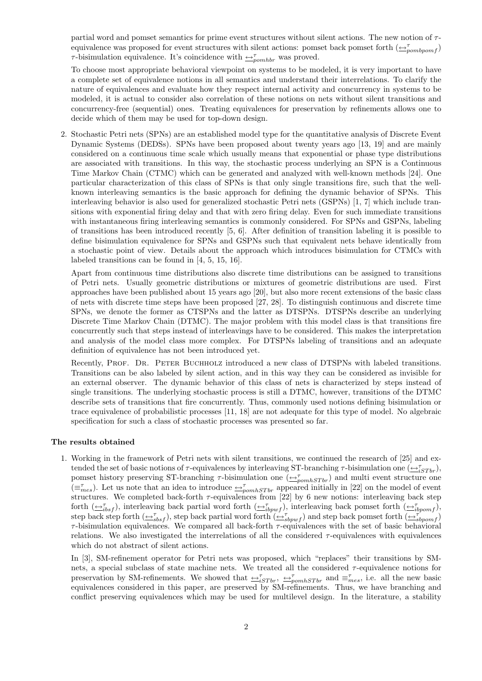partial word and pomset semantics for prime event structures without silent actions. The new notion of  $\tau$ equivalence was proposed for event structures with silent actions: pomset back pomset forth  $(\triangle_{pombpom f}^{\tau})$  $\tau$ -bisimulation equivalence. It's coincidence with  $\rightarrow_{\tau}^{\tau}$  was proved.

To choose most appropriate behavioral viewpoint on systems to be modeled, it is very important to have a complete set of equivalence notions in all semantics and understand their interrelations. To clarify the nature of equivalences and evaluate how they respect internal activity and concurrency in systems to be modeled, it is actual to consider also correlation of these notions on nets without silent transitions and concurrency-free (sequential) ones. Treating equivalences for preservation by refinements allows one to decide which of them may be used for top-down design.

2. Stochastic Petri nets (SPNs) are an established model type for the quantitative analysis of Discrete Event Dynamic Systems (DEDSs). SPNs have been proposed about twenty years ago [13, 19] and are mainly considered on a continuous time scale which usually means that exponential or phase type distributions are associated with transitions. In this way, the stochastic process underlying an SPN is a Continuous Time Markov Chain (CTMC) which can be generated and analyzed with well-known methods [24]. One particular characterization of this class of SPNs is that only single transitions fire, such that the wellknown interleaving semantics is the basic approach for defining the dynamic behavior of SPNs. This interleaving behavior is also used for generalized stochastic Petri nets (GSPNs) [1, 7] which include transitions with exponential firing delay and that with zero firing delay. Even for such immediate transitions with instantaneous firing interleaving semantics is commonly considered. For SPNs and GSPNs, labeling of transitions has been introduced recently [5, 6]. After definition of transition labeling it is possible to define bisimulation equivalence for SPNs and GSPNs such that equivalent nets behave identically from a stochastic point of view. Details about the approach which introduces bisimulation for CTMCs with labeled transitions can be found in [4, 5, 15, 16].

Apart from continuous time distributions also discrete time distributions can be assigned to transitions of Petri nets. Usually geometric distributions or mixtures of geometric distributions are used. First approaches have been published about 15 years ago [20], but also more recent extensions of the basic class of nets with discrete time steps have been proposed [27, 28]. To distinguish continuous and discrete time SPNs, we denote the former as CTSPNs and the latter as DTSPNs. DTSPNs describe an underlying Discrete Time Markov Chain (DTMC). The major problem with this model class is that transitions fire concurrently such that steps instead of interleavings have to be considered. This makes the interpretation and analysis of the model class more complex. For DTSPNs labeling of transitions and an adequate definition of equivalence has not been introduced yet.

Recently, PROF. DR. PETER BUCHHOLZ introduced a new class of DTSPNs with labeled transitions. Transitions can be also labeled by silent action, and in this way they can be considered as invisible for an external observer. The dynamic behavior of this class of nets is characterized by steps instead of single transitions. The underlying stochastic process is still a DTMC, however, transitions of the DTMC describe sets of transitions that fire concurrently. Thus, commonly used notions defining bisimulation or trace equivalence of probabilistic processes [11, 18] are not adequate for this type of model. No algebraic specification for such a class of stochastic processes was presented so far.

#### The results obtained

1. Working in the framework of Petri nets with silent transitions, we continued the research of [25] and extended the set of basic notions of  $\tau$ -equivalences by interleaving ST-branching  $\tau$ -bisimulation one  $(\underline{\leftrightarrow}_{iSTbr}^{\tau})$ , pomset history preserving ST-branching  $\tau$ -bisimulation one  $(\bigoplus_{\text{pomhSTbr}}^{\tau})$  and multi event structure one  $(\equiv_{mes}^{\tau})$ . Let us note that an idea to introduce  $\leftrightarrow_{pomhSTbr}^{\tau}$  appeared initially in [22] on the model of event structures. We completed back-forth  $\tau$ -equivalences from [22] by 6 new notions: interleaving back step forth  $(\underline{\leftrightarrow}_{ibsf}^{\tau})$ , interleaving back partial word forth  $(\underline{\leftrightarrow}_{ibpwf}^{\tau})$ , interleaving back pomset forth  $(\underline{\leftrightarrow}_{ibpomf}^{\tau})$ , step back step forth  $(\underline{\leftrightarrow}_{sbsf}^{\tau})$ , step back partial word forth  $(\underline{\leftrightarrow}_{sbpwf}^{\tau})$  and step back pomset forth  $(\underline{\leftrightarrow}_{sbpomf}^{\tau})$  $\tau$ -bisimulation equivalences. We compared all back-forth  $\tau$ -equivalences with the set of basic behavioral relations. We also investigated the interrelations of all the considered  $\tau$ -equivalences with equivalences which do not abstract of silent actions.

In [3], SM-refinement operator for Petri nets was proposed, which "replaces" their transitions by SMnets, a special subclass of state machine nets. We treated all the considered  $\tau$ -equivalence notions for preservation by SM-refinements. We showed that  $\triangle^{\tau}_{iSTbr}$ ,  $\triangle^{\tau}_{pomhSTbr}$  and  $\equiv^{\tau}_{mes}$ , i.e. all the new basic equivalences considered in this paper, are preserved by SM-refinements. Thus, we have branching and conflict preserving equivalences which may be used for multilevel design. In the literature, a stability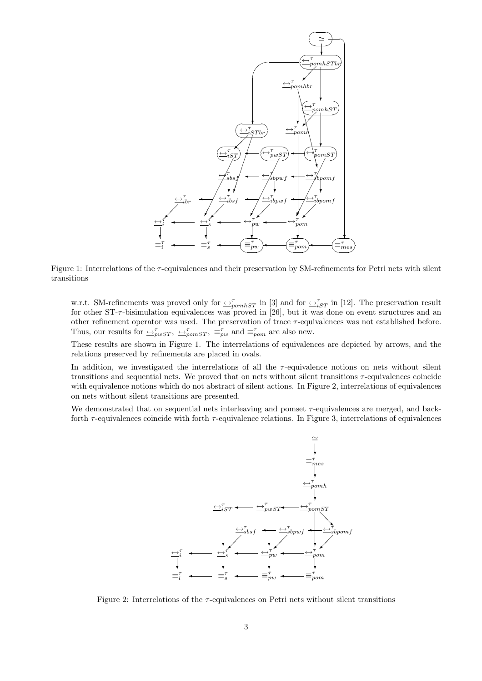

Figure 1: Interrelations of the τ -equivalences and their preservation by SM-refinements for Petri nets with silent transitions

w.r.t. SM-refinements was proved only for  $\frac{1}{2}T$  in [3] and for  $\frac{1}{2}T$  in [12]. The preservation result for other  $ST-\tau$ -bisimulation equivalences was proved in [26], but it was done on event structures and an other refinement operator was used. The preservation of trace  $\tau$ -equivalences was not established before. Thus, our results for  $\Rightarrow_{pwST}^{\tau}$ ,  $\Rightarrow_{pomST}^{\tau}$ ,  $\equiv_{pw}^{\tau}$  and  $\equiv_{pom}^{\tau}$  are also new.

These results are shown in Figure 1. The interrelations of equivalences are depicted by arrows, and the relations preserved by refinements are placed in ovals.

In addition, we investigated the interrelations of all the  $\tau$ -equivalence notions on nets without silent transitions and sequential nets. We proved that on nets without silent transitions  $\tau$ -equivalences coincide with equivalence notions which do not abstract of silent actions. In Figure 2, interrelations of equivalences on nets without silent transitions are presented.

We demonstrated that on sequential nets interleaving and pomset  $\tau$ -equivalences are merged, and backforth  $\tau$ -equivalences coincide with forth  $\tau$ -equivalence relations. In Figure 3, interrelations of equivalences



Figure 2: Interrelations of the  $\tau$ -equivalences on Petri nets without silent transitions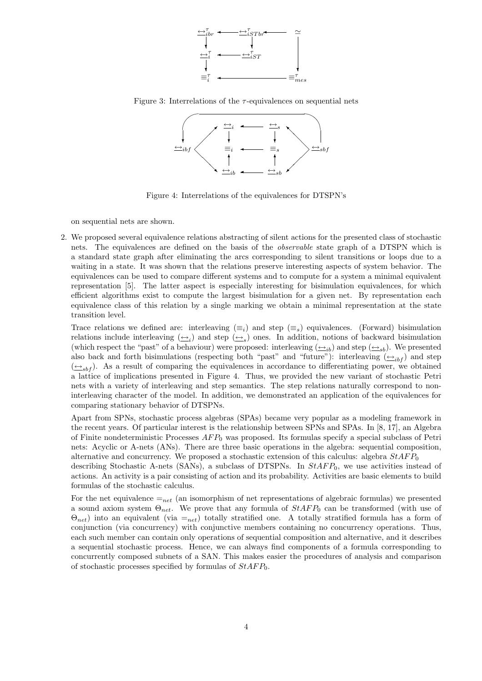

Figure 3: Interrelations of the  $\tau$ -equivalences on sequential nets



Figure 4: Interrelations of the equivalences for DTSPN's

on sequential nets are shown.

2. We proposed several equivalence relations abstracting of silent actions for the presented class of stochastic nets. The equivalences are defined on the basis of the observable state graph of a DTSPN which is a standard state graph after eliminating the arcs corresponding to silent transitions or loops due to a waiting in a state. It was shown that the relations preserve interesting aspects of system behavior. The equivalences can be used to compare different systems and to compute for a system a minimal equivalent representation [5]. The latter aspect is especially interesting for bisimulation equivalences, for which efficient algorithms exist to compute the largest bisimulation for a given net. By representation each equivalence class of this relation by a single marking we obtain a minimal representation at the state transition level.

Trace relations we defined are: interleaving  $(\equiv_i)$  and step  $(\equiv_s)$  equivalences. (Forward) bisimulation relations include interleaving  $(\underline{\leftrightarrow}_i)$  and step  $(\underline{\leftrightarrow}_s)$  ones. In addition, notions of backward bisimulation (which respect the "past" of a behaviour) were proposed: interleaving  $(\underline{\leftrightarrow}_{ib})$  and step  $(\underline{\leftrightarrow}_{sb})$ . We presented also back and forth bisimulations (respecting both "past" and "future"): interleaving  $(\underline{\leftrightarrow}_{ibf})$  and step  $(\underline{\leftrightarrow}_{sbf})$ . As a result of comparing the equivalences in accordance to differentiating power, we obtained a lattice of implications presented in Figure 4. Thus, we provided the new variant of stochastic Petri nets with a variety of interleaving and step semantics. The step relations naturally correspond to noninterleaving character of the model. In addition, we demonstrated an application of the equivalences for comparing stationary behavior of DTSPNs.

Apart from SPNs, stochastic process algebras (SPAs) became very popular as a modeling framework in the recent years. Of particular interest is the relationship between SPNs and SPAs. In [8, 17], an Algebra of Finite nondeterministic Processes  $AFP_0$  was proposed. Its formulas specify a special subclass of Petri nets: Acyclic or A-nets (ANs). There are three basic operations in the algebra: sequential composition, alternative and concurrency. We proposed a stochastic extension of this calculus: algebra  $StAFP_0$ describing Stochastic A-nets (SANs), a subclass of DTSPNs. In  $StAFP_0$ , we use activities instead of

actions. An activity is a pair consisting of action and its probability. Activities are basic elements to build formulas of the stochastic calculus.

For the net equivalence  $=_{net}$  (an isomorphism of net representations of algebraic formulas) we presented a sound axiom system  $\Theta_{net}$ . We prove that any formula of  $StAFP_0$  can be transformed (with use of  $\Theta_{net}$ ) into an equivalent (via  $=_{net}$ ) totally stratified one. A totally stratified formula has a form of conjunction (via concurrency) with conjunctive members containing no concurrency operations. Thus, each such member can contain only operations of sequential composition and alternative, and it describes a sequential stochastic process. Hence, we can always find components of a formula corresponding to concurrently composed subnets of a SAN. This makes easier the procedures of analysis and comparison of stochastic processes specified by formulas of  $StAFP_0$ .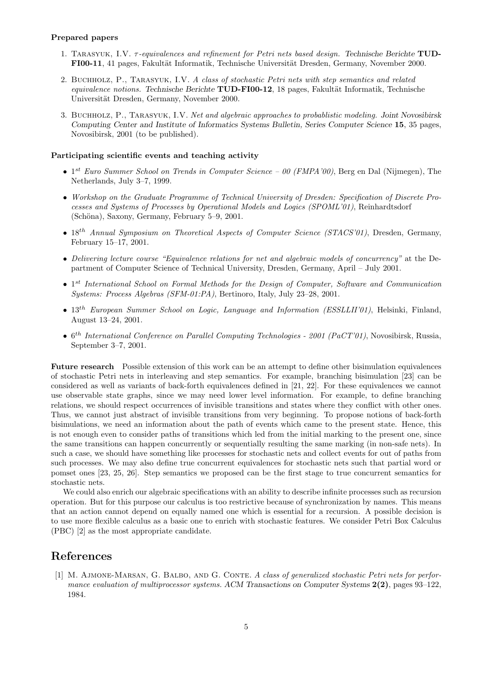#### Prepared papers

- 1. TARASYUK, I.V. τ-equivalences and refinement for Petri nets based design. Technische Berichte TUD-FI00-11, 41 pages, Fakultät Informatik, Technische Universität Dresden, Germany, November 2000.
- 2. Buchholz, P., Tarasyuk, I.V. A class of stochastic Petri nets with step semantics and related equivalence notions. Technische Berichte TUD-FI00-12, 18 pages, Fakultät Informatik, Technische Universität Dresden, Germany, November 2000.
- 3. Buchholz, P., Tarasyuk, I.V. Net and algebraic approaches to probablistic modeling. Joint Novosibirsk Computing Center and Institute of Informatics Systems Bulletin, Series Computer Science 15, 35 pages, Novosibirsk, 2001 (to be published).

#### Participating scientific events and teaching activity

- $1^{st}$  Euro Summer School on Trends in Computer Science 00 (FMPA'00), Berg en Dal (Nijmegen), The Netherlands, July 3–7, 1999.
- Workshop on the Graduate Programme of Technical University of Dresden: Specification of Discrete Processes and Systems of Processes by Operational Models and Logics (SPOML'01), Reinhardtsdorf (Schöna), Saxony, Germany, February 5–9, 2001.
- $\bullet$  18<sup>th</sup> Annual Symposium on Theoretical Aspects of Computer Science (STACS'01), Dresden, Germany, February 15–17, 2001.
- Delivering lecture course "Equivalence relations for net and algebraic models of concurrency" at the Department of Computer Science of Technical University, Dresden, Germany, April – July 2001.
- 1<sup>st</sup> International School on Formal Methods for the Design of Computer, Software and Communication Systems: Process Algebras (SFM-01:PA), Bertinoro, Italy, July 23–28, 2001.
- $\bullet$  13<sup>th</sup> European Summer School on Logic, Language and Information (ESSLLII'01), Helsinki, Finland, August 13–24, 2001.
- $\bullet$  6<sup>th</sup> International Conference on Parallel Computing Technologies 2001 (PaCT'01), Novosibirsk, Russia, September 3–7, 2001.

Future research Possible extension of this work can be an attempt to define other bisimulation equivalences of stochastic Petri nets in interleaving and step semantics. For example, branching bisimulation [23] can be considered as well as variants of back-forth equivalences defined in [21, 22]. For these equivalences we cannot use observable state graphs, since we may need lower level information. For example, to define branching relations, we should respect occurrences of invisible transitions and states where they conflict with other ones. Thus, we cannot just abstract of invisible transitions from very beginning. To propose notions of back-forth bisimulations, we need an information about the path of events which came to the present state. Hence, this is not enough even to consider paths of transitions which led from the initial marking to the present one, since the same transitions can happen concurrently or sequentially resulting the same marking (in non-safe nets). In such a case, we should have something like processes for stochastic nets and collect events for out of paths from such processes. We may also define true concurrent equivalences for stochastic nets such that partial word or pomset ones [23, 25, 26]. Step semantics we proposed can be the first stage to true concurrent semantics for stochastic nets.

We could also enrich our algebraic specifications with an ability to describe infinite processes such as recursion operation. But for this purpose our calculus is too restrictive because of synchronization by names. This means that an action cannot depend on equally named one which is essential for a recursion. A possible decision is to use more flexible calculus as a basic one to enrich with stochastic features. We consider Petri Box Calculus (PBC) [2] as the most appropriate candidate.

## References

[1] M. AJMONE-MARSAN, G. BALBO, AND G. CONTE. A class of generalized stochastic Petri nets for performance evaluation of multiprocessor systems. ACM Transactions on Computer Systems  $2(2)$ , pages  $93-122$ , 1984.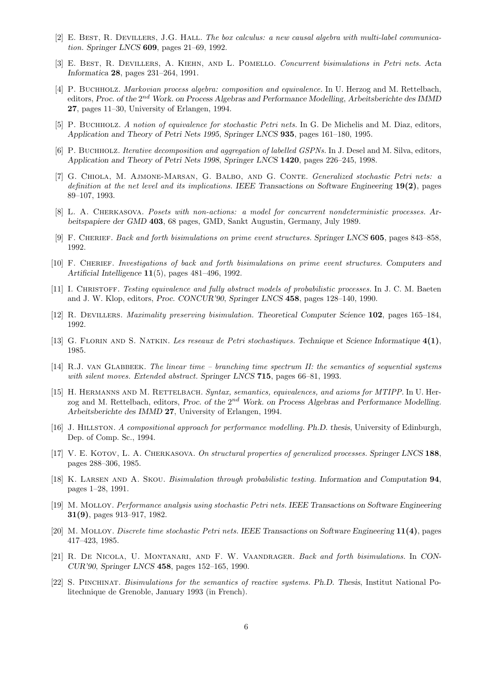- [2] E. Best, R. Devillers, J.G. Hall. The box calculus: a new causal algebra with multi-label communication. Springer LNCS 609, pages 21–69, 1992.
- [3] E. Best, R. Devillers, A. Kiehn, and L. Pomello. Concurrent bisimulations in Petri nets. Acta Informatica 28, pages 231–264, 1991.
- [4] P. Buchholz. Markovian process algebra: composition and equivalence. In U. Herzog and M. Rettelbach, editors, Proc. of the  $2^{nd}$  Work. on Process Algebras and Performance Modelling, Arbeitsberichte des IMMD 27, pages 11–30, University of Erlangen, 1994.
- [5] P. Buchholz. A notion of equivalence for stochastic Petri nets. In G. De Michelis and M. Diaz, editors, Application and Theory of Petri Nets 1995, Springer LNCS 935, pages 161–180, 1995.
- [6] P. Buchholz. *Iterative decomposition and aggregation of labelled GSPNs*. In J. Desel and M. Silva, editors, Application and Theory of Petri Nets 1998, Springer LNCS 1420, pages 226–245, 1998.
- [7] G. Chiola, M. Ajmone-Marsan, G. Balbo, and G. Conte. Generalized stochastic Petri nets: a definition at the net level and its implications. IEEE Transactions on Software Engineering 19(2), pages 89–107, 1993.
- [8] L. A. Cherkasova. Posets with non-actions: a model for concurrent nondeterministic processes. Arbeitspapiere der GMD 403, 68 pages, GMD, Sankt Augustin, Germany, July 1989.
- [9] F. Cherief. Back and forth bisimulations on prime event structures. Springer LNCS 605, pages 843–858, 1992.
- [10] F. Cherief. Investigations of back and forth bisimulations on prime event structures. Computers and Artificial Intelligence  $11(5)$ , pages  $481-496$ , 1992.
- [11] I. CHRISTOFF. Testing equivalence and fully abstract models of probabilistic processes. In J. C. M. Baeten and J. W. Klop, editors, Proc. CONCUR'90, Springer LNCS 458, pages 128–140, 1990.
- [12] R. DEVILLERS. Maximality preserving bisimulation. Theoretical Computer Science 102, pages 165–184, 1992.
- [13] G. Florin and S. Natkin. Les reseaux de Petri stochastiques. Technique et Science Informatique 4(1), 1985.
- [14] R.J. VAN GLABBEEK. The linear time branching time spectrum II: the semantics of sequential systems with silent moves. Extended abstract. Springer LNCS 715, pages 66–81, 1993.
- [15] H. HERMANNS AND M. RETTELBACH. Syntax, semantics, equivalences, and axioms for MTIPP. In U. Herzog and M. Rettelbach, editors, Proc. of the  $2^{nd}$  Work. on Process Algebras and Performance Modelling. Arbeitsberichte des IMMD 27, University of Erlangen, 1994.
- [16] J. HILLSTON. A compositional approach for performance modelling. Ph.D. thesis, University of Edinburgh, Dep. of Comp. Sc., 1994.
- [17] V. E. KOTOV, L. A. CHERKASOVA. On structural properties of generalized processes. Springer LNCS 188, pages 288–306, 1985.
- [18] K. LARSEN AND A. SKOU. *Bisimulation through probabilistic testing*. Information and Computation 94, pages 1–28, 1991.
- [19] M. Molloy. Performance analysis using stochastic Petri nets. IEEE Transactions on Software Engineering 31(9), pages 913–917, 1982.
- [20] M. Molloy. Discrete time stochastic Petri nets. IEEE Transactions on Software Engineering 11(4), pages 417–423, 1985.
- [21] R. De Nicola, U. Montanari, and F. W. Vaandrager. Back and forth bisimulations. In CON-CUR'90, Springer LNCS 458, pages 152–165, 1990.
- [22] S. Pinchinat. Bisimulations for the semantics of reactive systems. Ph.D. Thesis, Institut National Politechnique de Grenoble, January 1993 (in French).